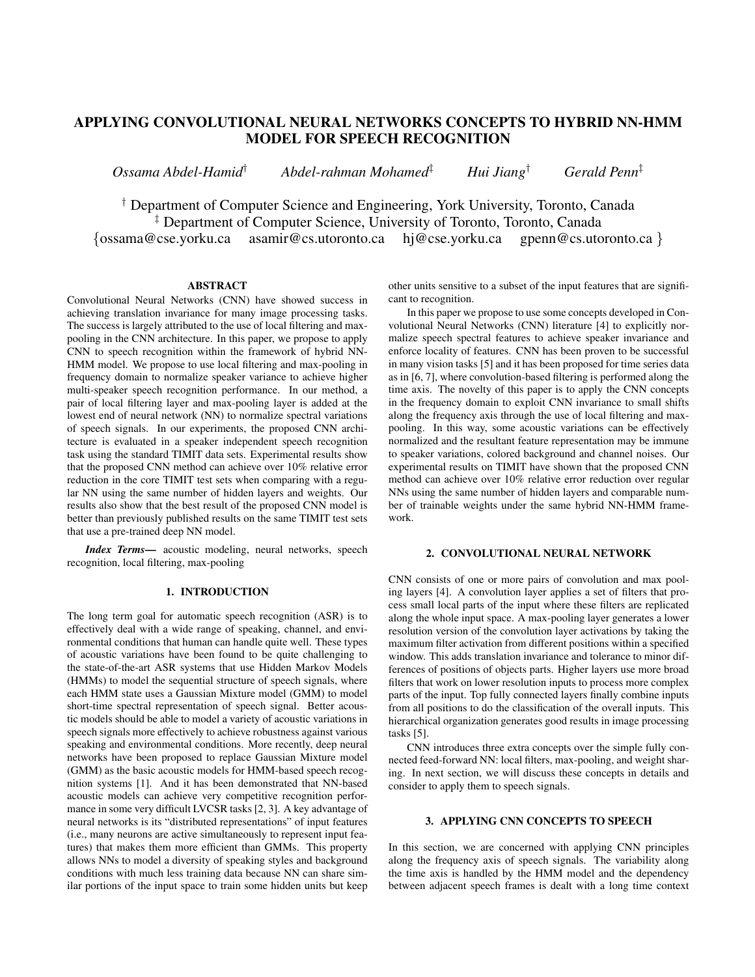# APPLYING CONVOLUTIONAL NEURAL NETWORKS CONCEPTS TO HYBRID NN-HMM MODEL FOR SPEECH RECOGNITION

*Ossama Abdel-Hamid*† *Abdel-rahman Mohamed*‡ *Hui Jiang*† *Gerald Penn*‡

† Department of Computer Science and Engineering, York University, Toronto, Canada ‡ Department of Computer Science, University of Toronto, Toronto, Canada {ossama@cse.yorku.ca asamir@cs.utoronto.ca hj@cse.yorku.ca gpenn@cs.utoronto.ca }

### ABSTRACT

Convolutional Neural Networks (CNN) have showed success in achieving translation invariance for many image processing tasks. The success is largely attributed to the use of local filtering and maxpooling in the CNN architecture. In this paper, we propose to apply CNN to speech recognition within the framework of hybrid NN-HMM model. We propose to use local filtering and max-pooling in frequency domain to normalize speaker variance to achieve higher multi-speaker speech recognition performance. In our method, a pair of local filtering layer and max-pooling layer is added at the lowest end of neural network (NN) to normalize spectral variations of speech signals. In our experiments, the proposed CNN architecture is evaluated in a speaker independent speech recognition task using the standard TIMIT data sets. Experimental results show that the proposed CNN method can achieve over 10% relative error reduction in the core TIMIT test sets when comparing with a regular NN using the same number of hidden layers and weights. Our results also show that the best result of the proposed CNN model is better than previously published results on the same TIMIT test sets that use a pre-trained deep NN model.

*Index Terms*— acoustic modeling, neural networks, speech recognition, local filtering, max-pooling

### 1. INTRODUCTION

The long term goal for automatic speech recognition (ASR) is to effectively deal with a wide range of speaking, channel, and environmental conditions that human can handle quite well. These types of acoustic variations have been found to be quite challenging to the state-of-the-art ASR systems that use Hidden Markov Models (HMMs) to model the sequential structure of speech signals, where each HMM state uses a Gaussian Mixture model (GMM) to model short-time spectral representation of speech signal. Better acoustic models should be able to model a variety of acoustic variations in speech signals more effectively to achieve robustness against various speaking and environmental conditions. More recently, deep neural networks have been proposed to replace Gaussian Mixture model (GMM) as the basic acoustic models for HMM-based speech recognition systems [1]. And it has been demonstrated that NN-based acoustic models can achieve very competitive recognition performance in some very difficult LVCSR tasks [2, 3]. A key advantage of neural networks is its "distributed representations" of input features (i.e., many neurons are active simultaneously to represent input features) that makes them more efficient than GMMs. This property allows NNs to model a diversity of speaking styles and background conditions with much less training data because NN can share similar portions of the input space to train some hidden units but keep

other units sensitive to a subset of the input features that are significant to recognition.

In this paper we propose to use some concepts developed in Convolutional Neural Networks (CNN) literature [4] to explicitly normalize speech spectral features to achieve speaker invariance and enforce locality of features. CNN has been proven to be successful in many vision tasks [5] and it has been proposed for time series data as in [6, 7], where convolution-based filtering is performed along the time axis. The novelty of this paper is to apply the CNN concepts in the frequency domain to exploit CNN invariance to small shifts along the frequency axis through the use of local filtering and maxpooling. In this way, some acoustic variations can be effectively normalized and the resultant feature representation may be immune to speaker variations, colored background and channel noises. Our experimental results on TIMIT have shown that the proposed CNN method can achieve over 10% relative error reduction over regular NNs using the same number of hidden layers and comparable number of trainable weights under the same hybrid NN-HMM framework.

### 2. CONVOLUTIONAL NEURAL NETWORK

CNN consists of one or more pairs of convolution and max pooling layers [4]. A convolution layer applies a set of filters that process small local parts of the input where these filters are replicated along the whole input space. A max-pooling layer generates a lower resolution version of the convolution layer activations by taking the maximum filter activation from different positions within a specified window. This adds translation invariance and tolerance to minor differences of positions of objects parts. Higher layers use more broad filters that work on lower resolution inputs to process more complex parts of the input. Top fully connected layers finally combine inputs from all positions to do the classification of the overall inputs. This hierarchical organization generates good results in image processing tasks [5].

CNN introduces three extra concepts over the simple fully connected feed-forward NN: local filters, max-pooling, and weight sharing. In next section, we will discuss these concepts in details and consider to apply them to speech signals.

## 3. APPLYING CNN CONCEPTS TO SPEECH

In this section, we are concerned with applying CNN principles along the frequency axis of speech signals. The variability along the time axis is handled by the HMM model and the dependency between adjacent speech frames is dealt with a long time context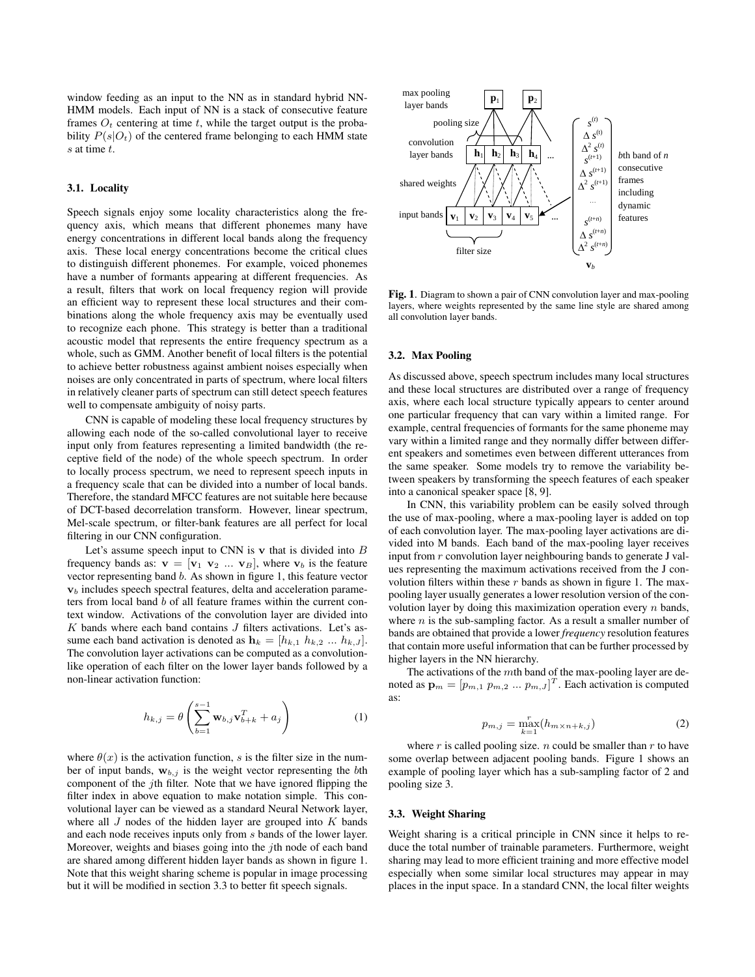window feeding as an input to the NN as in standard hybrid NN-HMM models. Each input of NN is a stack of consecutive feature frames  $O_t$  centering at time t, while the target output is the probability  $P(s|O_t)$  of the centered frame belonging to each HMM state s at time t.

# 3.1. Locality

Speech signals enjoy some locality characteristics along the frequency axis, which means that different phonemes many have energy concentrations in different local bands along the frequency axis. These local energy concentrations become the critical clues to distinguish different phonemes. For example, voiced phonemes have a number of formants appearing at different frequencies. As a result, filters that work on local frequency region will provide an efficient way to represent these local structures and their combinations along the whole frequency axis may be eventually used to recognize each phone. This strategy is better than a traditional acoustic model that represents the entire frequency spectrum as a whole, such as GMM. Another benefit of local filters is the potential to achieve better robustness against ambient noises especially when noises are only concentrated in parts of spectrum, where local filters in relatively cleaner parts of spectrum can still detect speech features well to compensate ambiguity of noisy parts.

CNN is capable of modeling these local frequency structures by allowing each node of the so-called convolutional layer to receive input only from features representing a limited bandwidth (the receptive field of the node) of the whole speech spectrum. In order to locally process spectrum, we need to represent speech inputs in a frequency scale that can be divided into a number of local bands. Therefore, the standard MFCC features are not suitable here because of DCT-based decorrelation transform. However, linear spectrum, Mel-scale spectrum, or filter-bank features are all perfect for local filtering in our CNN configuration.

Let's assume speech input to CNN is  $\bf{v}$  that is divided into  $\bf{B}$ frequency bands as:  $\mathbf{v} = [\mathbf{v}_1 \ \mathbf{v}_2 \ \dots \ \mathbf{v}_B]$ , where  $\mathbf{v}_b$  is the feature vector representing band b. As shown in figure 1, this feature vector  $v<sub>b</sub>$  includes speech spectral features, delta and acceleration parameters from local band b of all feature frames within the current context window. Activations of the convolution layer are divided into  $K$  bands where each band contains  $J$  filters activations. Let's assume each band activation is denoted as  $h_k = [h_{k,1} \; h_{k,2} \; ... \; h_{k,J}].$ The convolution layer activations can be computed as a convolutionlike operation of each filter on the lower layer bands followed by a non-linear activation function:

$$
h_{k,j} = \theta \left( \sum_{b=1}^{s-1} \mathbf{w}_{b,j} \mathbf{v}_{b+k}^T + a_j \right)
$$
 (1)

where  $\theta(x)$  is the activation function, s is the filter size in the number of input bands,  $w_{b,j}$  is the weight vector representing the bth component of the *j*th filter. Note that we have ignored flipping the filter index in above equation to make notation simple. This convolutional layer can be viewed as a standard Neural Network layer, where all  $J$  nodes of the hidden layer are grouped into  $K$  bands and each node receives inputs only from s bands of the lower layer. Moreover, weights and biases going into the jth node of each band are shared among different hidden layer bands as shown in figure 1. Note that this weight sharing scheme is popular in image processing but it will be modified in section 3.3 to better fit speech signals.



Fig. 1. Diagram to shown a pair of CNN convolution layer and max-pooling layers, where weights represented by the same line style are shared among all convolution layer bands.

#### 3.2. Max Pooling

As discussed above, speech spectrum includes many local structures and these local structures are distributed over a range of frequency axis, where each local structure typically appears to center around one particular frequency that can vary within a limited range. For example, central frequencies of formants for the same phoneme may vary within a limited range and they normally differ between different speakers and sometimes even between different utterances from the same speaker. Some models try to remove the variability between speakers by transforming the speech features of each speaker into a canonical speaker space [8, 9].

In CNN, this variability problem can be easily solved through the use of max-pooling, where a max-pooling layer is added on top of each convolution layer. The max-pooling layer activations are divided into M bands. Each band of the max-pooling layer receives input from r convolution layer neighbouring bands to generate J values representing the maximum activations received from the J convolution filters within these  $r$  bands as shown in figure 1. The maxpooling layer usually generates a lower resolution version of the convolution layer by doing this maximization operation every  $n$  bands, where  $n$  is the sub-sampling factor. As a result a smaller number of bands are obtained that provide a lower *frequency* resolution features that contain more useful information that can be further processed by higher layers in the NN hierarchy.

The activations of the mth band of the max-pooling layer are denoted as  $\mathbf{p}_m = [p_{m,1} \ p_{m,2} \dots p_{m,J}]^T$ . Each activation is computed as:

$$
p_{m,j} = \max_{k=1}^{n} (h_{m \times n + k,j})
$$
 (2)

where  $r$  is called pooling size.  $n$  could be smaller than  $r$  to have some overlap between adjacent pooling bands. Figure 1 shows an example of pooling layer which has a sub-sampling factor of 2 and pooling size 3.

### 3.3. Weight Sharing

Weight sharing is a critical principle in CNN since it helps to reduce the total number of trainable parameters. Furthermore, weight sharing may lead to more efficient training and more effective model especially when some similar local structures may appear in may places in the input space. In a standard CNN, the local filter weights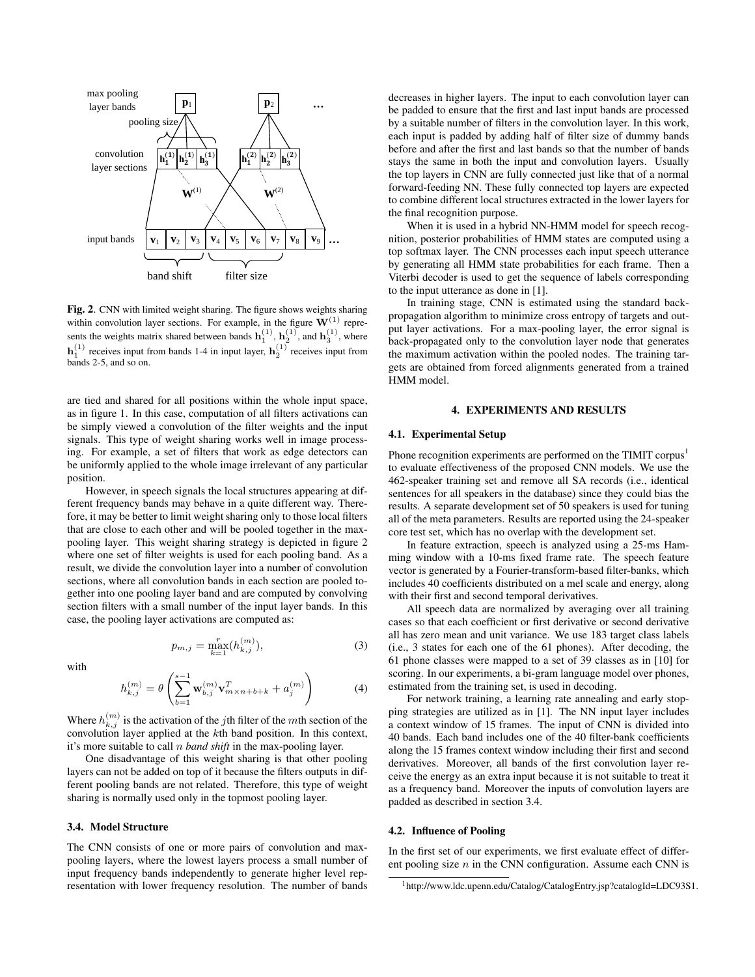

Fig. 2. CNN with limited weight sharing. The figure shows weights sharing within convolution layer sections. For example, in the figure  $W^{(1)}$  represents the weights matrix shared between bands  $\mathbf{h}_1^{(1)}$ ,  $\mathbf{h}_2^{(1)}$ , and  $\mathbf{h}_3^{(1)}$ , where  $\mathbf{h}_1^{(1)}$  receives input from bands 1-4 in input layer,  $\mathbf{h}_2^{(1)}$  receives input from bands 2-5, and so on.

are tied and shared for all positions within the whole input space, as in figure 1. In this case, computation of all filters activations can be simply viewed a convolution of the filter weights and the input signals. This type of weight sharing works well in image processing. For example, a set of filters that work as edge detectors can be uniformly applied to the whole image irrelevant of any particular position.

However, in speech signals the local structures appearing at different frequency bands may behave in a quite different way. Therefore, it may be better to limit weight sharing only to those local filters that are close to each other and will be pooled together in the maxpooling layer. This weight sharing strategy is depicted in figure 2 where one set of filter weights is used for each pooling band. As a result, we divide the convolution layer into a number of convolution sections, where all convolution bands in each section are pooled together into one pooling layer band and are computed by convolving section filters with a small number of the input layer bands. In this case, the pooling layer activations are computed as:

with

$$
h_{k,j}^{(m)} = \theta \left( \sum_{b=1}^{s-1} \mathbf{w}_{b,j}^{(m)} \mathbf{v}_{m \times n+b+k}^T + a_j^{(m)} \right)
$$
(4)

 $p_{m,j} = \max_{k=1}^{n} (h_{k,j}^{(m)}),$  (3)

Where  $h_{k,j}^{(m)}$  is the activation of the *j*th filter of the *m*th section of the convolution layer applied at the kth band position. In this context, it's more suitable to call n *band shift* in the max-pooling layer.

One disadvantage of this weight sharing is that other pooling layers can not be added on top of it because the filters outputs in different pooling bands are not related. Therefore, this type of weight sharing is normally used only in the topmost pooling layer.

### 3.4. Model Structure

The CNN consists of one or more pairs of convolution and maxpooling layers, where the lowest layers process a small number of input frequency bands independently to generate higher level representation with lower frequency resolution. The number of bands

decreases in higher layers. The input to each convolution layer can be padded to ensure that the first and last input bands are processed by a suitable number of filters in the convolution layer. In this work, each input is padded by adding half of filter size of dummy bands before and after the first and last bands so that the number of bands stays the same in both the input and convolution layers. Usually the top layers in CNN are fully connected just like that of a normal forward-feeding NN. These fully connected top layers are expected to combine different local structures extracted in the lower layers for the final recognition purpose.

When it is used in a hybrid NN-HMM model for speech recognition, posterior probabilities of HMM states are computed using a top softmax layer. The CNN processes each input speech utterance by generating all HMM state probabilities for each frame. Then a Viterbi decoder is used to get the sequence of labels corresponding to the input utterance as done in [1].

In training stage, CNN is estimated using the standard backpropagation algorithm to minimize cross entropy of targets and output layer activations. For a max-pooling layer, the error signal is back-propagated only to the convolution layer node that generates the maximum activation within the pooled nodes. The training targets are obtained from forced alignments generated from a trained HMM model.

#### 4. EXPERIMENTS AND RESULTS

#### 4.1. Experimental Setup

Phone recognition experiments are performed on the TIMIT corpus<sup>1</sup> to evaluate effectiveness of the proposed CNN models. We use the 462-speaker training set and remove all SA records (i.e., identical sentences for all speakers in the database) since they could bias the results. A separate development set of 50 speakers is used for tuning all of the meta parameters. Results are reported using the 24-speaker core test set, which has no overlap with the development set.

In feature extraction, speech is analyzed using a 25-ms Hamming window with a 10-ms fixed frame rate. The speech feature vector is generated by a Fourier-transform-based filter-banks, which includes 40 coefficients distributed on a mel scale and energy, along with their first and second temporal derivatives.

All speech data are normalized by averaging over all training cases so that each coefficient or first derivative or second derivative all has zero mean and unit variance. We use 183 target class labels (i.e., 3 states for each one of the 61 phones). After decoding, the 61 phone classes were mapped to a set of 39 classes as in [10] for scoring. In our experiments, a bi-gram language model over phones, estimated from the training set, is used in decoding.

For network training, a learning rate annealing and early stopping strategies are utilized as in [1]. The NN input layer includes a context window of 15 frames. The input of CNN is divided into 40 bands. Each band includes one of the 40 filter-bank coefficients along the 15 frames context window including their first and second derivatives. Moreover, all bands of the first convolution layer receive the energy as an extra input because it is not suitable to treat it as a frequency band. Moreover the inputs of convolution layers are padded as described in section 3.4.

### 4.2. Influence of Pooling

In the first set of our experiments, we first evaluate effect of different pooling size  $n$  in the CNN configuration. Assume each CNN is

<sup>1</sup>http://www.ldc.upenn.edu/Catalog/CatalogEntry.jsp?catalogId=LDC93S1.